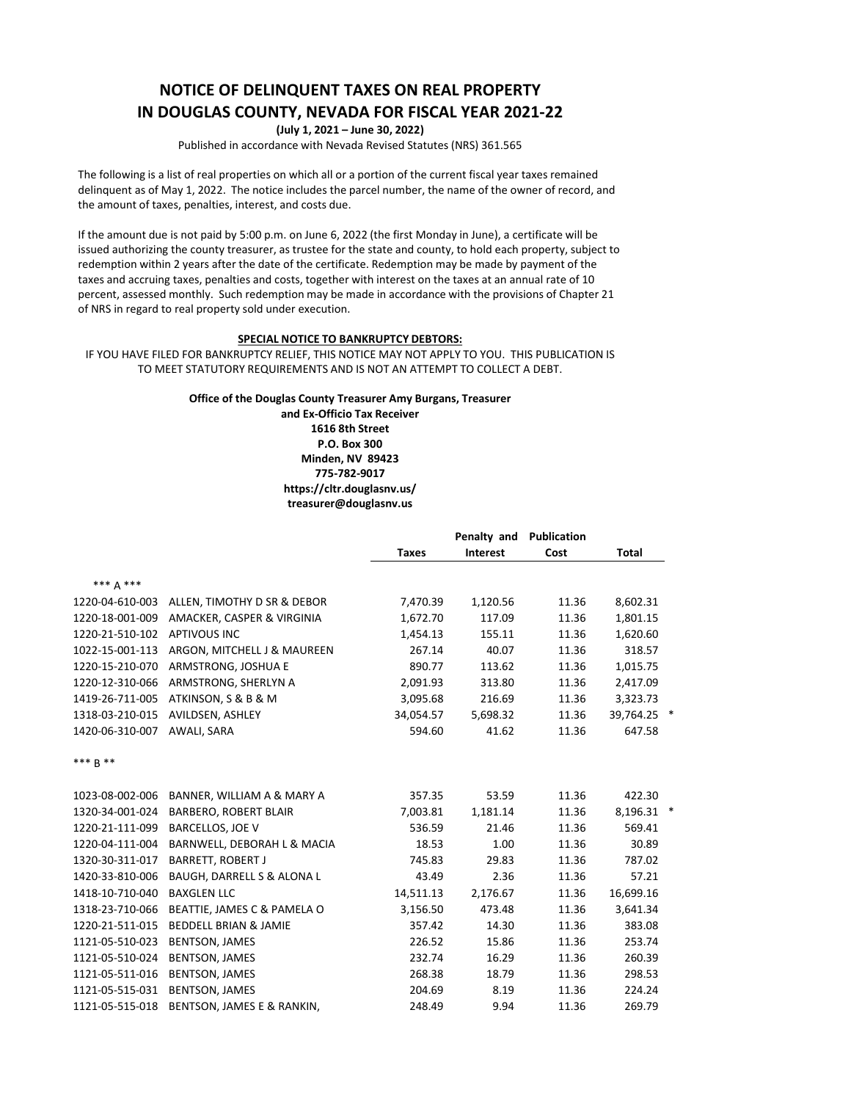## **NOTICE OF DELINQUENT TAXES ON REAL PROPERTY IN DOUGLAS COUNTY, NEVADA FOR FISCAL YEAR 2021-22**

**(July 1, 2021 – June 30, 2022)**

Published in accordance with Nevada Revised Statutes (NRS) 361.565

The following is a list of real properties on which all or a portion of the current fiscal year taxes remained delinquent as of May 1, 2022. The notice includes the parcel number, the name of the owner of record, and the amount of taxes, penalties, interest, and costs due.

If the amount due is not paid by 5:00 p.m. on June 6, 2022 (the first Monday in June), a certificate will be issued authorizing the county treasurer, as trustee for the state and county, to hold each property, subject to redemption within 2 years after the date of the certificate. Redemption may be made by payment of the taxes and accruing taxes, penalties and costs, together with interest on the taxes at an annual rate of 10 percent, assessed monthly. Such redemption may be made in accordance with the provisions of Chapter 21 of NRS in regard to real property sold under execution.

## **SPECIAL NOTICE TO BANKRUPTCY DEBTORS:**

IF YOU HAVE FILED FOR BANKRUPTCY RELIEF, THIS NOTICE MAY NOT APPLY TO YOU. THIS PUBLICATION IS TO MEET STATUTORY REQUIREMENTS AND IS NOT AN ATTEMPT TO COLLECT A DEBT.

## **Office of the Douglas County Treasurer Amy Burgans, Treasurer**

**and Ex-Officio Tax Receiver 1616 8th Street P.O. Box 300 Minden, NV 89423 775-782-9017 https://cltr.douglasnv.us/ treasurer@douglasnv.us** 

|                 |                                  | <b>Taxes</b> | Penalty and<br>Interest | <b>Publication</b><br>Cost | <b>Total</b> |   |
|-----------------|----------------------------------|--------------|-------------------------|----------------------------|--------------|---|
| *** 4 ***       |                                  |              |                         |                            |              |   |
| 1220-04-610-003 | ALLEN, TIMOTHY D SR & DEBOR      | 7,470.39     | 1,120.56                | 11.36                      | 8,602.31     |   |
| 1220-18-001-009 | AMACKER, CASPER & VIRGINIA       | 1,672.70     | 117.09                  | 11.36                      | 1,801.15     |   |
| 1220-21-510-102 | <b>APTIVOUS INC</b>              | 1,454.13     | 155.11                  | 11.36                      | 1,620.60     |   |
| 1022-15-001-113 | ARGON, MITCHELL J & MAUREEN      | 267.14       | 40.07                   | 11.36                      | 318.57       |   |
| 1220-15-210-070 | ARMSTRONG, JOSHUA E              | 890.77       | 113.62                  | 11.36                      | 1,015.75     |   |
| 1220-12-310-066 | ARMSTRONG, SHERLYN A             | 2,091.93     | 313.80                  | 11.36                      | 2,417.09     |   |
| 1419-26-711-005 | ATKINSON, S & B & M              | 3,095.68     | 216.69                  | 11.36                      | 3,323.73     |   |
| 1318-03-210-015 | AVILDSEN, ASHLEY                 | 34,054.57    | 5,698.32                | 11.36                      | 39,764.25 *  |   |
| 1420-06-310-007 | AWALI, SARA                      | 594.60       | 41.62                   | 11.36                      | 647.58       |   |
| *** R **        |                                  |              |                         |                            |              |   |
| 1023-08-002-006 | BANNER, WILLIAM A & MARY A       | 357.35       | 53.59                   | 11.36                      | 422.30       |   |
| 1320-34-001-024 | BARBERO, ROBERT BLAIR            | 7,003.81     | 1,181.14                | 11.36                      | 8,196.31     | × |
| 1220-21-111-099 | <b>BARCELLOS, JOE V</b>          | 536.59       | 21.46                   | 11.36                      | 569.41       |   |
| 1220-04-111-004 | BARNWELL, DEBORAH L & MACIA      | 18.53        | 1.00                    | 11.36                      | 30.89        |   |
| 1320-30-311-017 | <b>BARRETT, ROBERT J</b>         | 745.83       | 29.83                   | 11.36                      | 787.02       |   |
| 1420-33-810-006 | BAUGH, DARRELL S & ALONA L       | 43.49        | 2.36                    | 11.36                      | 57.21        |   |
| 1418-10-710-040 | <b>BAXGLEN LLC</b>               | 14,511.13    | 2,176.67                | 11.36                      | 16,699.16    |   |
| 1318-23-710-066 | BEATTIE, JAMES C & PAMELA O      | 3,156.50     | 473.48                  | 11.36                      | 3,641.34     |   |
| 1220-21-511-015 | <b>BEDDELL BRIAN &amp; JAMIE</b> | 357.42       | 14.30                   | 11.36                      | 383.08       |   |
| 1121-05-510-023 | <b>BENTSON, JAMES</b>            | 226.52       | 15.86                   | 11.36                      | 253.74       |   |
| 1121-05-510-024 | <b>BENTSON, JAMES</b>            | 232.74       | 16.29                   | 11.36                      | 260.39       |   |
| 1121-05-511-016 | <b>BENTSON, JAMES</b>            | 268.38       | 18.79                   | 11.36                      | 298.53       |   |
| 1121-05-515-031 | <b>BENTSON, JAMES</b>            | 204.69       | 8.19                    | 11.36                      | 224.24       |   |
| 1121-05-515-018 | BENTSON, JAMES E & RANKIN,       | 248.49       | 9.94                    | 11.36                      | 269.79       |   |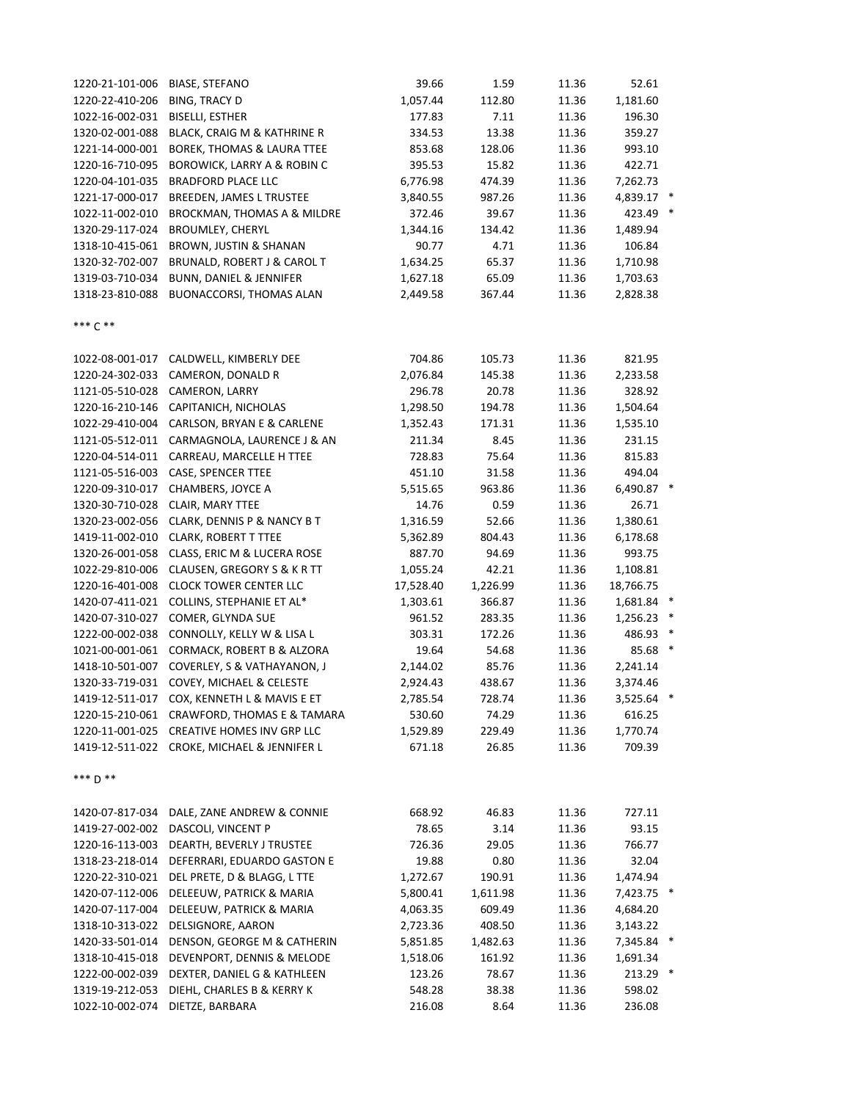| 1220-21-101-006 | <b>BIASE, STEFANO</b>                       | 39.66     | 1.59     | 11.36 | 52.61        |  |
|-----------------|---------------------------------------------|-----------|----------|-------|--------------|--|
| 1220-22-410-206 | BING, TRACY D                               | 1,057.44  | 112.80   | 11.36 | 1,181.60     |  |
| 1022-16-002-031 | <b>BISELLI, ESTHER</b>                      | 177.83    | 7.11     | 11.36 | 196.30       |  |
| 1320-02-001-088 | BLACK, CRAIG M & KATHRINE R                 | 334.53    | 13.38    | 11.36 | 359.27       |  |
| 1221-14-000-001 | <b>BOREK, THOMAS &amp; LAURA TTEE</b>       | 853.68    | 128.06   | 11.36 | 993.10       |  |
| 1220-16-710-095 | <b>BOROWICK, LARRY A &amp; ROBIN C</b>      | 395.53    | 15.82    | 11.36 | 422.71       |  |
| 1220-04-101-035 | <b>BRADFORD PLACE LLC</b>                   | 6,776.98  | 474.39   | 11.36 | 7,262.73     |  |
| 1221-17-000-017 | BREEDEN, JAMES L TRUSTEE                    | 3,840.55  | 987.26   | 11.36 | 4,839.17 *   |  |
| 1022-11-002-010 | BROCKMAN, THOMAS A & MILDRE                 | 372.46    | 39.67    | 11.36 | 423.49 *     |  |
| 1320-29-117-024 | <b>BROUMLEY, CHERYL</b>                     | 1,344.16  | 134.42   | 11.36 | 1,489.94     |  |
| 1318-10-415-061 | <b>BROWN, JUSTIN &amp; SHANAN</b>           | 90.77     | 4.71     | 11.36 | 106.84       |  |
| 1320-32-702-007 | BRUNALD, ROBERT J & CAROL T                 | 1,634.25  | 65.37    | 11.36 | 1,710.98     |  |
| 1319-03-710-034 | <b>BUNN, DANIEL &amp; JENNIFER</b>          | 1,627.18  | 65.09    | 11.36 | 1,703.63     |  |
| 1318-23-810-088 | BUONACCORSI, THOMAS ALAN                    | 2,449.58  | 367.44   | 11.36 | 2,828.38     |  |
| *** C **        |                                             |           |          |       |              |  |
| 1022-08-001-017 | CALDWELL, KIMBERLY DEE                      | 704.86    | 105.73   | 11.36 | 821.95       |  |
| 1220-24-302-033 | CAMERON, DONALD R                           | 2,076.84  | 145.38   | 11.36 | 2,233.58     |  |
| 1121-05-510-028 | CAMERON, LARRY                              | 296.78    | 20.78    | 11.36 | 328.92       |  |
| 1220-16-210-146 | CAPITANICH, NICHOLAS                        | 1,298.50  | 194.78   | 11.36 | 1,504.64     |  |
| 1022-29-410-004 | CARLSON, BRYAN E & CARLENE                  | 1,352.43  | 171.31   | 11.36 | 1,535.10     |  |
| 1121-05-512-011 | CARMAGNOLA, LAURENCE J & AN                 | 211.34    | 8.45     | 11.36 | 231.15       |  |
| 1220-04-514-011 | CARREAU, MARCELLE H TTEE                    | 728.83    | 75.64    | 11.36 | 815.83       |  |
| 1121-05-516-003 | CASE, SPENCER TTEE                          | 451.10    | 31.58    | 11.36 | 494.04       |  |
| 1220-09-310-017 | CHAMBERS, JOYCE A                           | 5,515.65  | 963.86   | 11.36 | 6,490.87 *   |  |
| 1320-30-710-028 | CLAIR, MARY TTEE                            | 14.76     | 0.59     | 11.36 | 26.71        |  |
| 1320-23-002-056 | CLARK, DENNIS P & NANCY B T                 | 1,316.59  | 52.66    | 11.36 | 1,380.61     |  |
| 1419-11-002-010 | <b>CLARK, ROBERT T TTEE</b>                 | 5,362.89  | 804.43   | 11.36 | 6,178.68     |  |
| 1320-26-001-058 | CLASS, ERIC M & LUCERA ROSE                 | 887.70    | 94.69    | 11.36 | 993.75       |  |
| 1022-29-810-006 | CLAUSEN, GREGORY S & K R TT                 | 1,055.24  | 42.21    | 11.36 | 1,108.81     |  |
| 1220-16-401-008 | <b>CLOCK TOWER CENTER LLC</b>               | 17,528.40 | 1,226.99 | 11.36 | 18,766.75    |  |
| 1420-07-411-021 | COLLINS, STEPHANIE ET AL*                   | 1,303.61  | 366.87   | 11.36 | 1,681.84 *   |  |
| 1420-07-310-027 | COMER, GLYNDA SUE                           | 961.52    | 283.35   | 11.36 | $1,256.23$ * |  |
| 1222-00-002-038 | CONNOLLY, KELLY W & LISA L                  | 303.31    | 172.26   | 11.36 | 486.93 *     |  |
| 1021-00-001-061 | CORMACK, ROBERT B & ALZORA                  | 19.64     | 54.68    | 11.36 | 85.68 *      |  |
| 1418-10-501-007 | COVERLEY, S & VATHAYANON, J                 | 2,144.02  | 85.76    | 11.36 | 2,241.14     |  |
|                 | 1320-33-719-031 COVEY, MICHAEL & CELESTE    | 2,924.43  | 438.67   | 11.36 | 3,374.46     |  |
|                 | 1419-12-511-017 COX, KENNETH L & MAVIS E ET | 2,785.54  | 728.74   | 11.36 | 3,525.64 *   |  |
|                 | 1220-15-210-061 CRAWFORD, THOMAS E & TAMARA | 530.60    | 74.29    | 11.36 | 616.25       |  |
|                 | 1220-11-001-025 CREATIVE HOMES INV GRP LLC  | 1,529.89  | 229.49   | 11.36 | 1,770.74     |  |
|                 | 1419-12-511-022 CROKE, MICHAEL & JENNIFER L | 671.18    | 26.85    | 11.36 | 709.39       |  |
| *** D **        |                                             |           |          |       |              |  |
|                 | 1420-07-817-034 DALE, ZANE ANDREW & CONNIE  | 668.92    | 46.83    | 11.36 | 727.11       |  |
|                 | 1419-27-002-002 DASCOLI, VINCENT P          | 78.65     | 3.14     | 11.36 | 93.15        |  |
|                 | 1220-16-113-003 DEARTH, BEVERLY J TRUSTEE   | 726.36    | 29.05    | 11.36 | 766.77       |  |
|                 | 1318-23-218-014 DEFERRARI, EDUARDO GASTON E | 19.88     | 0.80     | 11.36 | 32.04        |  |
| 1220-22-310-021 | DEL PRETE, D & BLAGG, L TTE                 | 1,272.67  | 190.91   | 11.36 | 1,474.94     |  |
| 1420-07-112-006 | DELEEUW, PATRICK & MARIA                    | 5,800.41  | 1,611.98 | 11.36 | 7,423.75 *   |  |
| 1420-07-117-004 | DELEEUW, PATRICK & MARIA                    | 4,063.35  | 609.49   | 11.36 | 4,684.20     |  |
| 1318-10-313-022 | DELSIGNORE, AARON                           | 2,723.36  | 408.50   | 11.36 | 3,143.22     |  |
| 1420-33-501-014 | DENSON, GEORGE M & CATHERIN                 | 5,851.85  | 1,482.63 | 11.36 | 7,345.84 *   |  |
| 1318-10-415-018 | DEVENPORT, DENNIS & MELODE                  | 1,518.06  | 161.92   | 11.36 | 1,691.34     |  |
| 1222-00-002-039 | DEXTER, DANIEL G & KATHLEEN                 | 123.26    | 78.67    | 11.36 | 213.29 *     |  |
| 1319-19-212-053 | DIEHL, CHARLES B & KERRY K                  | 548.28    | 38.38    | 11.36 | 598.02       |  |
| 1022-10-002-074 | DIETZE, BARBARA                             | 216.08    | 8.64     | 11.36 | 236.08       |  |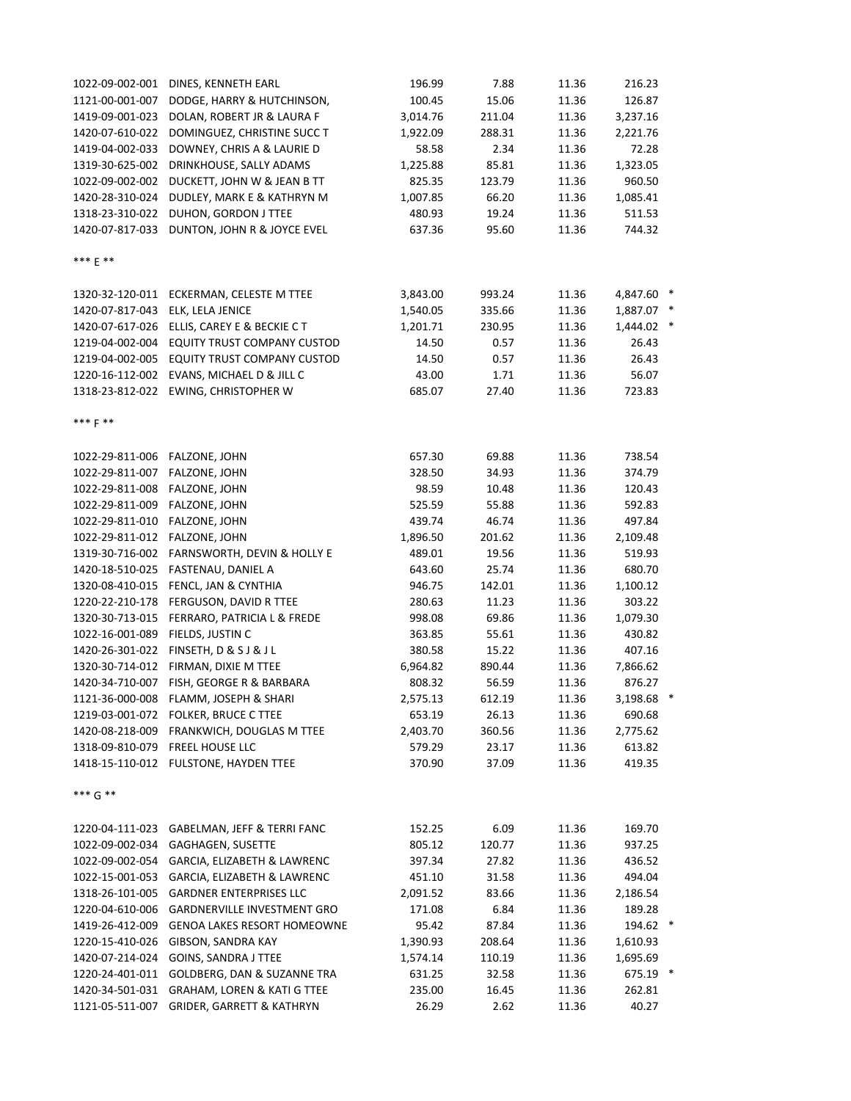| 1022-09-002-001                  | DINES, KENNETH EARL                         | 196.99   | 7.88   | 11.36 | 216.23     |  |
|----------------------------------|---------------------------------------------|----------|--------|-------|------------|--|
| 1121-00-001-007                  | DODGE, HARRY & HUTCHINSON,                  | 100.45   | 15.06  | 11.36 | 126.87     |  |
| 1419-09-001-023                  | DOLAN, ROBERT JR & LAURA F                  | 3,014.76 | 211.04 | 11.36 | 3,237.16   |  |
| 1420-07-610-022                  | DOMINGUEZ, CHRISTINE SUCC T                 | 1,922.09 | 288.31 | 11.36 | 2,221.76   |  |
| 1419-04-002-033                  | DOWNEY, CHRIS A & LAURIE D                  | 58.58    | 2.34   | 11.36 | 72.28      |  |
| 1319-30-625-002                  | DRINKHOUSE, SALLY ADAMS                     | 1,225.88 | 85.81  | 11.36 | 1,323.05   |  |
| 1022-09-002-002                  | DUCKETT, JOHN W & JEAN B TT                 | 825.35   | 123.79 | 11.36 | 960.50     |  |
| 1420-28-310-024                  | DUDLEY, MARK E & KATHRYN M                  | 1,007.85 | 66.20  | 11.36 | 1,085.41   |  |
| 1318-23-310-022                  | DUHON, GORDON J TTEE                        | 480.93   | 19.24  | 11.36 | 511.53     |  |
| 1420-07-817-033                  | DUNTON, JOHN R & JOYCE EVEL                 | 637.36   | 95.60  | 11.36 | 744.32     |  |
|                                  |                                             |          |        |       |            |  |
| *** E **                         |                                             |          |        |       |            |  |
|                                  |                                             |          |        |       |            |  |
|                                  | 1320-32-120-011 ECKERMAN, CELESTE M TTEE    | 3,843.00 | 993.24 | 11.36 | 4,847.60 * |  |
| 1420-07-817-043 ELK, LELA JENICE |                                             | 1,540.05 | 335.66 | 11.36 | 1,887.07 * |  |
|                                  | 1420-07-617-026 ELLIS, CAREY E & BECKIE C T | 1,201.71 | 230.95 | 11.36 | 1,444.02 * |  |
|                                  | 1219-04-002-004 EQUITY TRUST COMPANY CUSTOD | 14.50    | 0.57   | 11.36 | 26.43      |  |
|                                  | 1219-04-002-005 EQUITY TRUST COMPANY CUSTOD | 14.50    | 0.57   | 11.36 | 26.43      |  |
|                                  | 1220-16-112-002 EVANS, MICHAEL D & JILL C   | 43.00    | 1.71   | 11.36 | 56.07      |  |
|                                  | 1318-23-812-022 EWING, CHRISTOPHER W        | 685.07   | 27.40  | 11.36 | 723.83     |  |
|                                  |                                             |          |        |       |            |  |
| *** F **                         |                                             |          |        |       |            |  |
|                                  |                                             |          |        |       |            |  |
| 1022-29-811-006 FALZONE, JOHN    |                                             | 657.30   | 69.88  | 11.36 | 738.54     |  |
|                                  |                                             |          |        |       | 374.79     |  |
| 1022-29-811-007 FALZONE, JOHN    |                                             | 328.50   | 34.93  | 11.36 |            |  |
| 1022-29-811-008                  | FALZONE, JOHN                               | 98.59    | 10.48  | 11.36 | 120.43     |  |
| 1022-29-811-009                  | FALZONE, JOHN                               | 525.59   | 55.88  | 11.36 | 592.83     |  |
| 1022-29-811-010                  | FALZONE, JOHN                               | 439.74   | 46.74  | 11.36 | 497.84     |  |
| 1022-29-811-012 FALZONE, JOHN    |                                             | 1,896.50 | 201.62 | 11.36 | 2,109.48   |  |
|                                  | 1319-30-716-002 FARNSWORTH, DEVIN & HOLLY E | 489.01   | 19.56  | 11.36 | 519.93     |  |
| 1420-18-510-025                  | FASTENAU, DANIEL A                          | 643.60   | 25.74  | 11.36 | 680.70     |  |
| 1320-08-410-015                  | FENCL, JAN & CYNTHIA                        | 946.75   | 142.01 | 11.36 | 1,100.12   |  |
| 1220-22-210-178                  | FERGUSON, DAVID R TTEE                      | 280.63   | 11.23  | 11.36 | 303.22     |  |
|                                  | 1320-30-713-015 FERRARO, PATRICIA L & FREDE | 998.08   | 69.86  | 11.36 | 1,079.30   |  |
| 1022-16-001-089                  | FIELDS, JUSTIN C                            | 363.85   | 55.61  | 11.36 | 430.82     |  |
|                                  | 1420-26-301-022 FINSETH, D & S J & J L      | 380.58   | 15.22  | 11.36 | 407.16     |  |
|                                  | 1320-30-714-012 FIRMAN, DIXIE M TTEE        | 6,964.82 | 890.44 | 11.36 | 7,866.62   |  |
|                                  | 1420-34-710-007 FISH, GEORGE R & BARBARA    | 808.32   | 56.59  | 11.36 | 876.27     |  |
|                                  | 1121-36-000-008 FLAMM, JOSEPH & SHARI       | 2,575.13 | 612.19 | 11.36 | 3,198.68 * |  |
|                                  | 1219-03-001-072 FOLKER, BRUCE C TTEE        | 653.19   | 26.13  | 11.36 | 690.68     |  |
| 1420-08-218-009                  | FRANKWICH, DOUGLAS M TTEE                   | 2,403.70 | 360.56 | 11.36 | 2,775.62   |  |
| 1318-09-810-079                  | <b>FREEL HOUSE LLC</b>                      | 579.29   | 23.17  | 11.36 | 613.82     |  |
|                                  | 1418-15-110-012 FULSTONE, HAYDEN TTEE       | 370.90   | 37.09  | 11.36 | 419.35     |  |
|                                  |                                             |          |        |       |            |  |
| *** $G$ **                       |                                             |          |        |       |            |  |
|                                  |                                             |          |        |       |            |  |
| 1220-04-111-023                  | GABELMAN, JEFF & TERRI FANC                 | 152.25   | 6.09   | 11.36 | 169.70     |  |
| 1022-09-002-034                  | GAGHAGEN, SUSETTE                           | 805.12   | 120.77 | 11.36 | 937.25     |  |
| 1022-09-002-054                  | GARCIA, ELIZABETH & LAWRENC                 | 397.34   | 27.82  | 11.36 | 436.52     |  |
| 1022-15-001-053                  | GARCIA, ELIZABETH & LAWRENC                 | 451.10   | 31.58  | 11.36 | 494.04     |  |
| 1318-26-101-005                  | <b>GARDNER ENTERPRISES LLC</b>              | 2,091.52 | 83.66  | 11.36 | 2,186.54   |  |
| 1220-04-610-006                  | <b>GARDNERVILLE INVESTMENT GRO</b>          | 171.08   | 6.84   | 11.36 | 189.28     |  |
| 1419-26-412-009                  | GENOA LAKES RESORT HOMEOWNE                 | 95.42    | 87.84  | 11.36 | 194.62 *   |  |
| 1220-15-410-026                  | GIBSON, SANDRA KAY                          | 1,390.93 | 208.64 | 11.36 | 1,610.93   |  |
| 1420-07-214-024                  | <b>GOINS, SANDRA J TTEE</b>                 | 1,574.14 | 110.19 | 11.36 | 1,695.69   |  |
| 1220-24-401-011                  | GOLDBERG, DAN & SUZANNE TRA                 | 631.25   | 32.58  | 11.36 | 675.19 *   |  |
| 1420-34-501-031                  | GRAHAM, LOREN & KATI G TTEE                 | 235.00   | 16.45  | 11.36 | 262.81     |  |
| 1121-05-511-007                  | <b>GRIDER, GARRETT &amp; KATHRYN</b>        | 26.29    | 2.62   | 11.36 | 40.27      |  |
|                                  |                                             |          |        |       |            |  |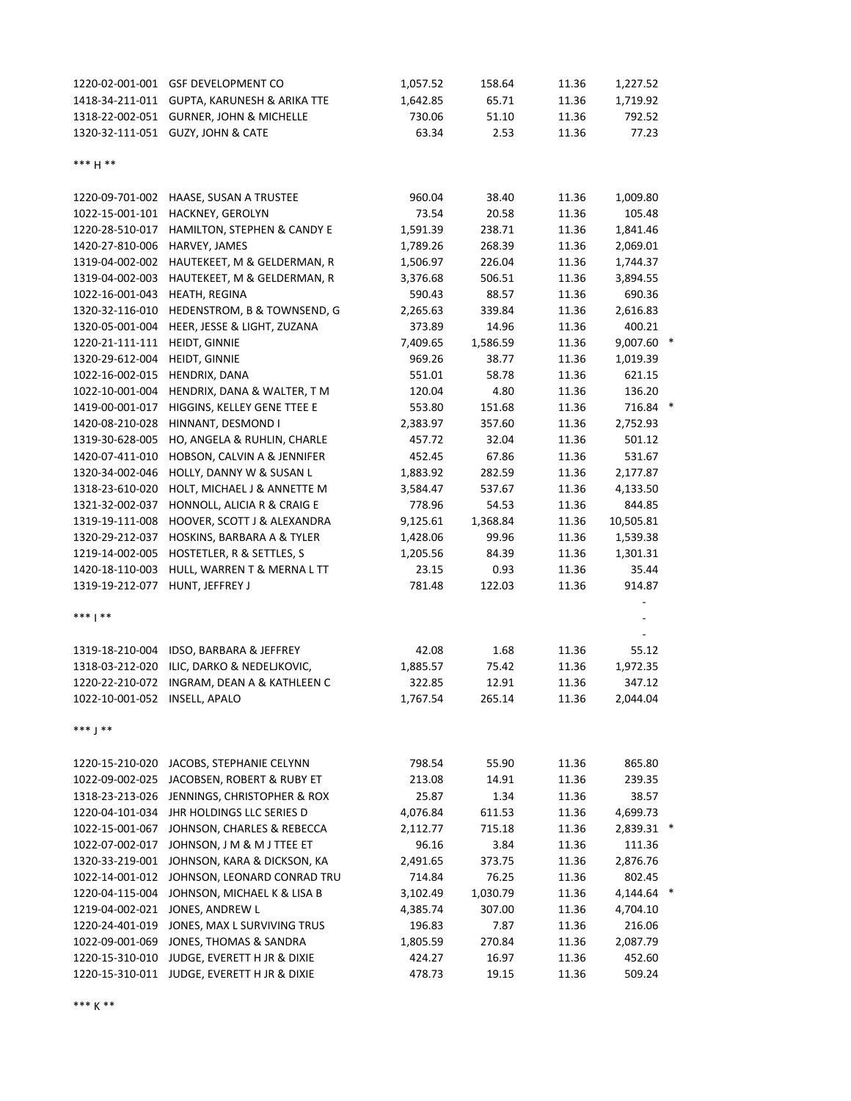| 1220-02-001-001               | <b>GSF DEVELOPMENT CO</b>                   | 1,057.52 | 158.64   | 11.36 | 1,227.52   |   |
|-------------------------------|---------------------------------------------|----------|----------|-------|------------|---|
| 1418-34-211-011               | <b>GUPTA, KARUNESH &amp; ARIKA TTE</b>      | 1,642.85 | 65.71    | 11.36 | 1,719.92   |   |
|                               | 1318-22-002-051 GURNER, JOHN & MICHELLE     | 730.06   | 51.10    | 11.36 | 792.52     |   |
|                               | 1320-32-111-051 GUZY, JOHN & CATE           | 63.34    | 2.53     | 11.36 | 77.23      |   |
| *** H **                      |                                             |          |          |       |            |   |
| 1220-09-701-002               | HAASE, SUSAN A TRUSTEE                      | 960.04   | 38.40    | 11.36 | 1,009.80   |   |
| 1022-15-001-101               | HACKNEY, GEROLYN                            | 73.54    | 20.58    | 11.36 | 105.48     |   |
| 1220-28-510-017               | HAMILTON, STEPHEN & CANDY E                 | 1,591.39 | 238.71   | 11.36 | 1,841.46   |   |
| 1420-27-810-006               | HARVEY, JAMES                               | 1,789.26 | 268.39   | 11.36 | 2,069.01   |   |
| 1319-04-002-002               | HAUTEKEET, M & GELDERMAN, R                 | 1,506.97 | 226.04   | 11.36 | 1,744.37   |   |
| 1319-04-002-003               | HAUTEKEET, M & GELDERMAN, R                 | 3,376.68 | 506.51   | 11.36 | 3,894.55   |   |
| 1022-16-001-043               | HEATH, REGINA                               | 590.43   | 88.57    | 11.36 | 690.36     |   |
| 1320-32-116-010               | HEDENSTROM, B & TOWNSEND, G                 | 2,265.63 | 339.84   | 11.36 | 2,616.83   |   |
| 1320-05-001-004               | HEER, JESSE & LIGHT, ZUZANA                 | 373.89   | 14.96    | 11.36 | 400.21     |   |
| 1220-21-111-111               | HEIDT, GINNIE                               | 7,409.65 | 1,586.59 | 11.36 | 9,007.60 * |   |
| 1320-29-612-004               | HEIDT, GINNIE                               | 969.26   | 38.77    | 11.36 | 1,019.39   |   |
| 1022-16-002-015               | HENDRIX, DANA                               | 551.01   | 58.78    | 11.36 | 621.15     |   |
| 1022-10-001-004               | HENDRIX, DANA & WALTER, T M                 | 120.04   | 4.80     | 11.36 | 136.20     |   |
| 1419-00-001-017               | HIGGINS, KELLEY GENE TTEE E                 | 553.80   | 151.68   | 11.36 | 716.84     | × |
| 1420-08-210-028               | HINNANT, DESMOND I                          | 2,383.97 | 357.60   | 11.36 | 2,752.93   |   |
| 1319-30-628-005               | HO, ANGELA & RUHLIN, CHARLE                 | 457.72   | 32.04    | 11.36 | 501.12     |   |
| 1420-07-411-010               | HOBSON, CALVIN A & JENNIFER                 | 452.45   | 67.86    | 11.36 | 531.67     |   |
| 1320-34-002-046               | HOLLY, DANNY W & SUSAN L                    | 1,883.92 | 282.59   | 11.36 | 2,177.87   |   |
| 1318-23-610-020               | HOLT, MICHAEL J & ANNETTE M                 | 3,584.47 | 537.67   | 11.36 | 4,133.50   |   |
| 1321-32-002-037               | HONNOLL, ALICIA R & CRAIG E                 | 778.96   | 54.53    | 11.36 | 844.85     |   |
| 1319-19-111-008               | HOOVER, SCOTT J & ALEXANDRA                 | 9,125.61 | 1,368.84 | 11.36 | 10,505.81  |   |
| 1320-29-212-037               | HOSKINS, BARBARA A & TYLER                  | 1,428.06 | 99.96    | 11.36 | 1,539.38   |   |
| 1219-14-002-005               | HOSTETLER, R & SETTLES, S                   | 1,205.56 | 84.39    | 11.36 | 1,301.31   |   |
| 1420-18-110-003               | HULL, WARREN T & MERNA L TT                 | 23.15    | 0.93     | 11.36 | 35.44      |   |
| 1319-19-212-077               | HUNT, JEFFREY J                             | 781.48   | 122.03   | 11.36 | 914.87     |   |
| ***   **                      |                                             |          |          |       |            |   |
|                               |                                             |          |          |       |            |   |
|                               | 1319-18-210-004 IDSO, BARBARA & JEFFREY     | 42.08    | 1.68     | 11.36 | 55.12      |   |
| 1318-03-212-020               | ILIC, DARKO & NEDELJKOVIC,                  | 1,885.57 | 75.42    | 11.36 | 1,972.35   |   |
|                               | 1220-22-210-072 INGRAM, DEAN A & KATHLEEN C | 322.85   | 12.91    | 11.36 | 347.12     |   |
| 1022-10-001-052 INSELL, APALO |                                             | 1,767.54 | 265.14   | 11.36 | 2,044.04   |   |
| ***   **                      |                                             |          |          |       |            |   |
|                               | 1220-15-210-020 JACOBS, STEPHANIE CELYNN    | 798.54   | 55.90    | 11.36 | 865.80     |   |
| 1022-09-002-025               | JACOBSEN, ROBERT & RUBY ET                  | 213.08   | 14.91    | 11.36 | 239.35     |   |
| 1318-23-213-026               | JENNINGS, CHRISTOPHER & ROX                 | 25.87    | 1.34     | 11.36 | 38.57      |   |
| 1220-04-101-034               | JHR HOLDINGS LLC SERIES D                   | 4,076.84 | 611.53   | 11.36 | 4,699.73   |   |
| 1022-15-001-067               | JOHNSON, CHARLES & REBECCA                  | 2,112.77 | 715.18   | 11.36 | 2,839.31   |   |
| 1022-07-002-017               | JOHNSON, J M & M J TTEE ET                  | 96.16    | 3.84     | 11.36 | 111.36     |   |
| 1320-33-219-001               | JOHNSON, KARA & DICKSON, KA                 | 2,491.65 | 373.75   | 11.36 | 2,876.76   |   |
| 1022-14-001-012               | JOHNSON, LEONARD CONRAD TRU                 | 714.84   | 76.25    | 11.36 | 802.45     |   |
| 1220-04-115-004               | JOHNSON, MICHAEL K & LISA B                 | 3,102.49 | 1,030.79 | 11.36 | 4,144.64   |   |
| 1219-04-002-021               | JONES, ANDREW L                             | 4,385.74 | 307.00   | 11.36 | 4,704.10   |   |
| 1220-24-401-019               | JONES, MAX L SURVIVING TRUS                 | 196.83   | 7.87     | 11.36 | 216.06     |   |
| 1022-09-001-069               | JONES, THOMAS & SANDRA                      | 1,805.59 | 270.84   | 11.36 | 2,087.79   |   |
| 1220-15-310-010               | JUDGE, EVERETT H JR & DIXIE                 | 424.27   | 16.97    | 11.36 | 452.60     |   |
| 1220-15-310-011               | JUDGE, EVERETT H JR & DIXIE                 | 478.73   | 19.15    | 11.36 | 509.24     |   |
|                               |                                             |          |          |       |            |   |

\*\*\* K \*\*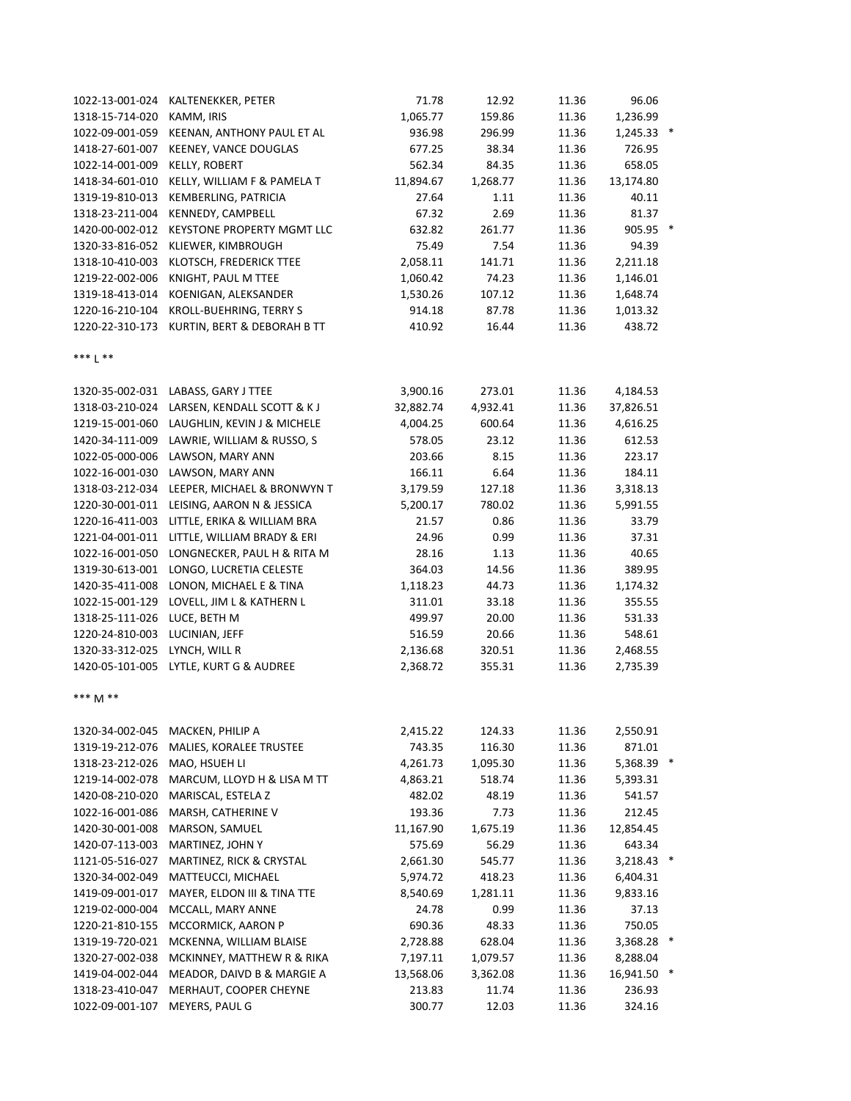| 1022-13-001-024 | KALTENEKKER, PETER                          | 71.78     | 12.92    | 11.36 | 96.06        |   |
|-----------------|---------------------------------------------|-----------|----------|-------|--------------|---|
| 1318-15-714-020 | KAMM, IRIS                                  | 1,065.77  | 159.86   | 11.36 | 1,236.99     |   |
| 1022-09-001-059 | KEENAN, ANTHONY PAUL ET AL                  | 936.98    | 296.99   | 11.36 | $1,245.33$ * |   |
| 1418-27-601-007 | KEENEY, VANCE DOUGLAS                       | 677.25    | 38.34    | 11.36 | 726.95       |   |
| 1022-14-001-009 | <b>KELLY, ROBERT</b>                        | 562.34    | 84.35    | 11.36 | 658.05       |   |
| 1418-34-601-010 | KELLY, WILLIAM F & PAMELA T                 | 11,894.67 | 1,268.77 | 11.36 | 13,174.80    |   |
| 1319-19-810-013 | KEMBERLING, PATRICIA                        | 27.64     | 1.11     | 11.36 | 40.11        |   |
| 1318-23-211-004 | KENNEDY, CAMPBELL                           | 67.32     | 2.69     | 11.36 | 81.37        |   |
| 1420-00-002-012 | KEYSTONE PROPERTY MGMT LLC                  | 632.82    | 261.77   | 11.36 | 905.95       | × |
| 1320-33-816-052 | KLIEWER, KIMBROUGH                          | 75.49     | 7.54     | 11.36 | 94.39        |   |
| 1318-10-410-003 | KLOTSCH, FREDERICK TTEE                     | 2,058.11  | 141.71   | 11.36 | 2,211.18     |   |
| 1219-22-002-006 | KNIGHT, PAUL M TTEE                         | 1,060.42  | 74.23    | 11.36 | 1,146.01     |   |
| 1319-18-413-014 | KOENIGAN, ALEKSANDER                        | 1,530.26  | 107.12   | 11.36 | 1,648.74     |   |
| 1220-16-210-104 | KROLL-BUEHRING, TERRY S                     | 914.18    | 87.78    | 11.36 | 1,013.32     |   |
| 1220-22-310-173 | KURTIN, BERT & DEBORAH B TT                 | 410.92    | 16.44    | 11.36 | 438.72       |   |
|                 |                                             |           |          |       |              |   |
| ***   **        |                                             |           |          |       |              |   |
|                 | 1320-35-002-031 LABASS, GARY J TTEE         | 3,900.16  | 273.01   | 11.36 | 4,184.53     |   |
|                 | 1318-03-210-024 LARSEN, KENDALL SCOTT & K J | 32,882.74 | 4,932.41 | 11.36 | 37,826.51    |   |
|                 | 1219-15-001-060 LAUGHLIN, KEVIN J & MICHELE | 4,004.25  | 600.64   | 11.36 | 4,616.25     |   |
| 1420-34-111-009 | LAWRIE, WILLIAM & RUSSO, S                  | 578.05    | 23.12    | 11.36 | 612.53       |   |
| 1022-05-000-006 | LAWSON, MARY ANN                            | 203.66    | 8.15     | 11.36 | 223.17       |   |
| 1022-16-001-030 | LAWSON, MARY ANN                            | 166.11    | 6.64     | 11.36 | 184.11       |   |
| 1318-03-212-034 | LEEPER, MICHAEL & BRONWYN T                 | 3,179.59  | 127.18   | 11.36 | 3,318.13     |   |
| 1220-30-001-011 | LEISING, AARON N & JESSICA                  | 5,200.17  | 780.02   | 11.36 | 5,991.55     |   |
| 1220-16-411-003 | LITTLE, ERIKA & WILLIAM BRA                 | 21.57     | 0.86     | 11.36 | 33.79        |   |
| 1221-04-001-011 | LITTLE, WILLIAM BRADY & ERI                 | 24.96     | 0.99     | 11.36 | 37.31        |   |
| 1022-16-001-050 | LONGNECKER, PAUL H & RITA M                 | 28.16     | 1.13     | 11.36 | 40.65        |   |
| 1319-30-613-001 | LONGO, LUCRETIA CELESTE                     | 364.03    | 14.56    | 11.36 | 389.95       |   |
| 1420-35-411-008 | LONON, MICHAEL E & TINA                     | 1,118.23  | 44.73    | 11.36 | 1,174.32     |   |
| 1022-15-001-129 | LOVELL, JIM L & KATHERN L                   | 311.01    | 33.18    | 11.36 | 355.55       |   |
| 1318-25-111-026 | LUCE, BETH M                                | 499.97    | 20.00    | 11.36 | 531.33       |   |
| 1220-24-810-003 | LUCINIAN, JEFF                              | 516.59    | 20.66    | 11.36 | 548.61       |   |
| 1320-33-312-025 | LYNCH, WILL R                               | 2,136.68  | 320.51   | 11.36 | 2,468.55     |   |
|                 | 1420-05-101-005 LYTLE, KURT G & AUDREE      | 2,368.72  | 355.31   | 11.36 | 2,735.39     |   |
| *** M **        |                                             |           |          |       |              |   |
|                 |                                             |           |          |       |              |   |
| 1320-34-002-045 | MACKEN, PHILIP A                            | 2,415.22  | 124.33   | 11.36 | 2,550.91     |   |
| 1319-19-212-076 | MALIES, KORALEE TRUSTEE                     | 743.35    | 116.30   | 11.36 | 871.01       |   |
| 1318-23-212-026 | MAO, HSUEH LI                               | 4,261.73  | 1,095.30 | 11.36 | 5,368.39     |   |
| 1219-14-002-078 | MARCUM, LLOYD H & LISA M TT                 | 4,863.21  | 518.74   | 11.36 | 5,393.31     |   |
| 1420-08-210-020 | MARISCAL, ESTELA Z                          | 482.02    | 48.19    | 11.36 | 541.57       |   |
| 1022-16-001-086 | MARSH, CATHERINE V                          | 193.36    | 7.73     | 11.36 | 212.45       |   |
| 1420-30-001-008 | MARSON, SAMUEL                              | 11,167.90 | 1,675.19 | 11.36 | 12,854.45    |   |
| 1420-07-113-003 | MARTINEZ, JOHN Y                            | 575.69    | 56.29    | 11.36 | 643.34       |   |
| 1121-05-516-027 | MARTINEZ, RICK & CRYSTAL                    | 2,661.30  | 545.77   | 11.36 | 3,218.43 *   |   |
| 1320-34-002-049 | MATTEUCCI, MICHAEL                          | 5,974.72  | 418.23   | 11.36 | 6,404.31     |   |
| 1419-09-001-017 | MAYER, ELDON III & TINA TTE                 | 8,540.69  | 1,281.11 | 11.36 | 9,833.16     |   |
| 1219-02-000-004 | MCCALL, MARY ANNE                           | 24.78     | 0.99     | 11.36 | 37.13        |   |
| 1220-21-810-155 | MCCORMICK, AARON P                          | 690.36    | 48.33    | 11.36 | 750.05       |   |
| 1319-19-720-021 | MCKENNA, WILLIAM BLAISE                     | 2,728.88  | 628.04   | 11.36 | 3,368.28 *   |   |
| 1320-27-002-038 | MCKINNEY, MATTHEW R & RIKA                  | 7,197.11  | 1,079.57 | 11.36 | 8,288.04     |   |
| 1419-04-002-044 | MEADOR, DAIVD B & MARGIE A                  | 13,568.06 | 3,362.08 | 11.36 | 16,941.50    |   |
| 1318-23-410-047 | MERHAUT, COOPER CHEYNE                      | 213.83    | 11.74    | 11.36 | 236.93       |   |
| 1022-09-001-107 | MEYERS, PAUL G                              | 300.77    | 12.03    | 11.36 | 324.16       |   |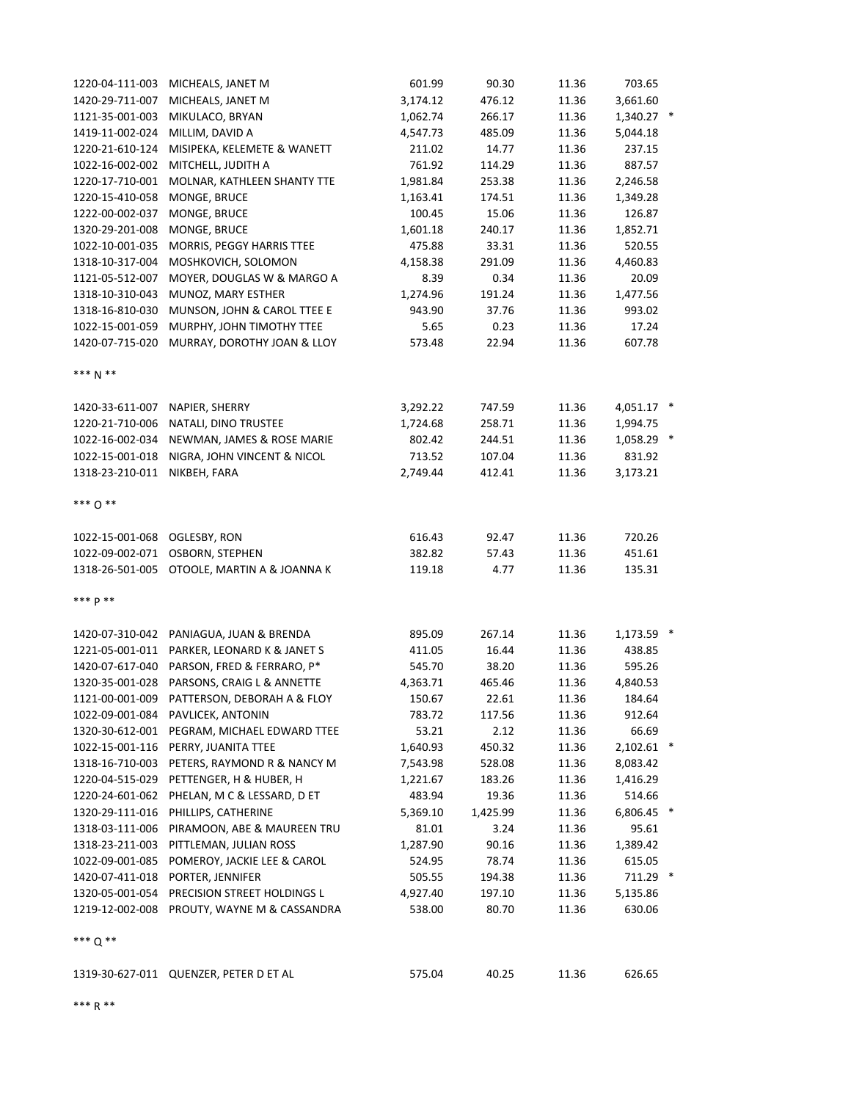| 1220-04-111-003 | MICHEALS, JANET M                           | 601.99   | 90.30    | 11.36 | 703.65       |  |
|-----------------|---------------------------------------------|----------|----------|-------|--------------|--|
| 1420-29-711-007 | MICHEALS, JANET M                           | 3,174.12 | 476.12   | 11.36 | 3,661.60     |  |
| 1121-35-001-003 | MIKULACO, BRYAN                             | 1,062.74 | 266.17   | 11.36 | 1,340.27 *   |  |
| 1419-11-002-024 | MILLIM, DAVID A                             | 4,547.73 | 485.09   | 11.36 | 5,044.18     |  |
| 1220-21-610-124 | MISIPEKA, KELEMETE & WANETT                 | 211.02   | 14.77    | 11.36 | 237.15       |  |
| 1022-16-002-002 | MITCHELL, JUDITH A                          | 761.92   | 114.29   | 11.36 | 887.57       |  |
| 1220-17-710-001 | MOLNAR, KATHLEEN SHANTY TTE                 | 1,981.84 | 253.38   | 11.36 | 2,246.58     |  |
| 1220-15-410-058 | MONGE, BRUCE                                | 1,163.41 | 174.51   | 11.36 | 1,349.28     |  |
| 1222-00-002-037 | MONGE, BRUCE                                | 100.45   | 15.06    | 11.36 | 126.87       |  |
| 1320-29-201-008 | MONGE, BRUCE                                | 1,601.18 | 240.17   | 11.36 | 1,852.71     |  |
| 1022-10-001-035 | MORRIS, PEGGY HARRIS TTEE                   | 475.88   | 33.31    | 11.36 | 520.55       |  |
| 1318-10-317-004 | MOSHKOVICH, SOLOMON                         | 4,158.38 | 291.09   | 11.36 | 4,460.83     |  |
| 1121-05-512-007 | MOYER, DOUGLAS W & MARGO A                  | 8.39     | 0.34     | 11.36 | 20.09        |  |
| 1318-10-310-043 | MUNOZ, MARY ESTHER                          | 1,274.96 | 191.24   | 11.36 | 1,477.56     |  |
| 1318-16-810-030 | MUNSON, JOHN & CAROL TTEE E                 | 943.90   | 37.76    | 11.36 | 993.02       |  |
| 1022-15-001-059 | MURPHY, JOHN TIMOTHY TTEE                   | 5.65     | 0.23     | 11.36 | 17.24        |  |
| 1420-07-715-020 | MURRAY, DOROTHY JOAN & LLOY                 | 573.48   | 22.94    | 11.36 | 607.78       |  |
| *** N **        |                                             |          |          |       |              |  |
| 1420-33-611-007 | NAPIER, SHERRY                              | 3,292.22 | 747.59   | 11.36 | 4,051.17 *   |  |
| 1220-21-710-006 | NATALI, DINO TRUSTEE                        | 1,724.68 | 258.71   | 11.36 | 1,994.75     |  |
| 1022-16-002-034 | NEWMAN, JAMES & ROSE MARIE                  | 802.42   | 244.51   | 11.36 | 1,058.29 *   |  |
| 1022-15-001-018 | NIGRA, JOHN VINCENT & NICOL                 | 713.52   | 107.04   | 11.36 | 831.92       |  |
| 1318-23-210-011 | NIKBEH, FARA                                | 2,749.44 | 412.41   | 11.36 | 3,173.21     |  |
| *** 0 **        |                                             |          |          |       |              |  |
| 1022-15-001-068 | OGLESBY, RON                                | 616.43   | 92.47    | 11.36 | 720.26       |  |
| 1022-09-002-071 | OSBORN, STEPHEN                             | 382.82   | 57.43    | 11.36 | 451.61       |  |
|                 | 1318-26-501-005 OTOOLE, MARTIN A & JOANNA K | 119.18   | 4.77     | 11.36 | 135.31       |  |
| *** p **        |                                             |          |          |       |              |  |
|                 | 1420-07-310-042 PANIAGUA, JUAN & BRENDA     | 895.09   | 267.14   | 11.36 | 1,173.59 *   |  |
| 1221-05-001-011 | PARKER, LEONARD K & JANET S                 | 411.05   | 16.44    | 11.36 | 438.85       |  |
| 1420-07-617-040 | PARSON, FRED & FERRARO, P*                  | 545.70   | 38.20    | 11.36 | 595.26       |  |
| 1320-35-001-028 | PARSONS, CRAIG L & ANNETTE                  | 4,363.71 | 465.46   | 11.36 | 4,840.53     |  |
|                 | 1121-00-001-009 PATTERSON, DEBORAH A & FLOY | 150.67   | 22.61    | 11.36 | 184.64       |  |
|                 | 1022-09-001-084 PAVLICEK, ANTONIN           | 783.72   | 117.56   | 11.36 | 912.64       |  |
| 1320-30-612-001 | PEGRAM, MICHAEL EDWARD TTEE                 | 53.21    | 2.12     | 11.36 | 66.69        |  |
| 1022-15-001-116 | PERRY, JUANITA TTEE                         | 1,640.93 | 450.32   | 11.36 | $2,102.61$ * |  |
| 1318-16-710-003 | PETERS, RAYMOND R & NANCY M                 | 7,543.98 | 528.08   | 11.36 | 8,083.42     |  |
| 1220-04-515-029 | PETTENGER, H & HUBER, H                     | 1,221.67 | 183.26   | 11.36 | 1,416.29     |  |
| 1220-24-601-062 | PHELAN, M C & LESSARD, D ET                 | 483.94   | 19.36    | 11.36 | 514.66       |  |
| 1320-29-111-016 | PHILLIPS, CATHERINE                         | 5,369.10 | 1,425.99 | 11.36 | 6,806.45 *   |  |
| 1318-03-111-006 | PIRAMOON, ABE & MAUREEN TRU                 | 81.01    | 3.24     | 11.36 | 95.61        |  |
| 1318-23-211-003 | PITTLEMAN, JULIAN ROSS                      | 1,287.90 | 90.16    | 11.36 | 1,389.42     |  |
| 1022-09-001-085 | POMEROY, JACKIE LEE & CAROL                 | 524.95   | 78.74    | 11.36 | 615.05       |  |
| 1420-07-411-018 | PORTER, JENNIFER                            | 505.55   | 194.38   | 11.36 | 711.29 *     |  |
| 1320-05-001-054 | PRECISION STREET HOLDINGS L                 | 4,927.40 | 197.10   | 11.36 | 5,135.86     |  |
| 1219-12-002-008 | PROUTY, WAYNE M & CASSANDRA                 | 538.00   | 80.70    | 11.36 | 630.06       |  |
| *** $0$ **      |                                             |          |          |       |              |  |
|                 | 1319-30-627-011 QUENZER, PETER D ET AL      | 575.04   | 40.25    | 11.36 | 626.65       |  |

\*\*\* R \*\*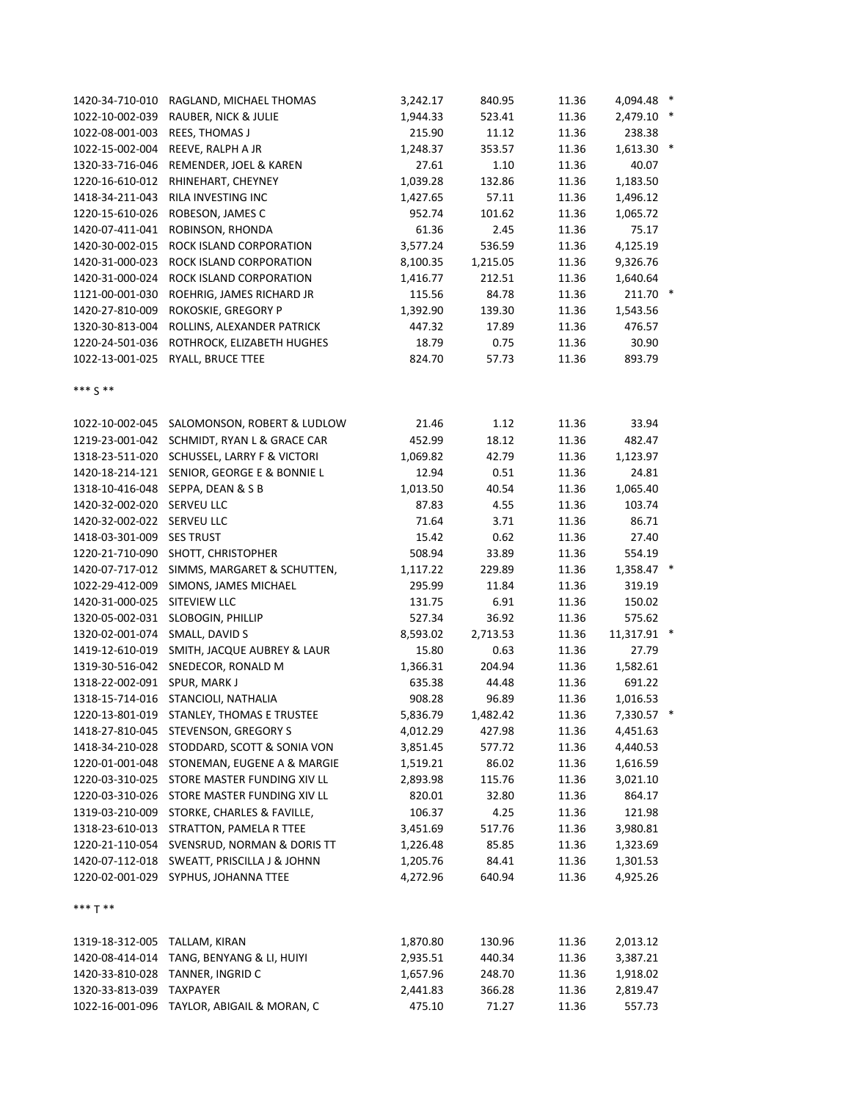| 1420-34-710-010               | RAGLAND, MICHAEL THOMAS                     | 3,242.17             | 840.95   | 11.36 | 4,094.48 *  |  |
|-------------------------------|---------------------------------------------|----------------------|----------|-------|-------------|--|
| 1022-10-002-039               | RAUBER, NICK & JULIE                        | 1,944.33             | 523.41   | 11.36 | 2,479.10 *  |  |
| 1022-08-001-003               | REES, THOMAS J                              | 215.90               | 11.12    | 11.36 | 238.38      |  |
| 1022-15-002-004               | REEVE, RALPH A JR                           | 1,248.37             | 353.57   | 11.36 | 1,613.30 *  |  |
| 1320-33-716-046               | REMENDER, JOEL & KAREN                      | 27.61                | 1.10     | 11.36 | 40.07       |  |
| 1220-16-610-012               | RHINEHART, CHEYNEY                          | 1,039.28             | 132.86   | 11.36 | 1,183.50    |  |
| 1418-34-211-043               | RILA INVESTING INC                          | 1,427.65             | 57.11    | 11.36 | 1,496.12    |  |
| 1220-15-610-026               | ROBESON, JAMES C                            | 952.74               | 101.62   | 11.36 | 1,065.72    |  |
| 1420-07-411-041               | ROBINSON, RHONDA                            | 61.36                | 2.45     | 11.36 | 75.17       |  |
| 1420-30-002-015               | ROCK ISLAND CORPORATION                     | 3,577.24             | 536.59   | 11.36 | 4,125.19    |  |
| 1420-31-000-023               | ROCK ISLAND CORPORATION                     | 8,100.35             | 1,215.05 | 11.36 | 9,326.76    |  |
| 1420-31-000-024               | ROCK ISLAND CORPORATION                     | 1,416.77             | 212.51   | 11.36 | 1,640.64    |  |
| 1121-00-001-030               | ROEHRIG, JAMES RICHARD JR                   | 115.56               | 84.78    | 11.36 | 211.70 *    |  |
| 1420-27-810-009               | ROKOSKIE, GREGORY P                         | 1,392.90             | 139.30   | 11.36 | 1,543.56    |  |
| 1320-30-813-004               | ROLLINS, ALEXANDER PATRICK                  | 447.32               | 17.89    | 11.36 | 476.57      |  |
| 1220-24-501-036               | ROTHROCK, ELIZABETH HUGHES                  | 18.79                | 0.75     | 11.36 | 30.90       |  |
|                               | 1022-13-001-025 RYALL, BRUCE TTEE           | 824.70               | 57.73    | 11.36 | 893.79      |  |
|                               |                                             |                      |          |       |             |  |
| *** $S$ **                    |                                             |                      |          |       |             |  |
|                               | 1022-10-002-045 SALOMONSON, ROBERT & LUDLOW | 21.46                | 1.12     | 11.36 | 33.94       |  |
|                               | 1219-23-001-042 SCHMIDT, RYAN L & GRACE CAR | 452.99               | 18.12    | 11.36 | 482.47      |  |
|                               | 1318-23-511-020 SCHUSSEL, LARRY F & VICTORI | 1,069.82             | 42.79    | 11.36 | 1,123.97    |  |
|                               | 1420-18-214-121 SENIOR, GEORGE E & BONNIE L | 12.94                | 0.51     | 11.36 | 24.81       |  |
|                               | 1318-10-416-048 SEPPA, DEAN & S B           | 1,013.50             | 40.54    | 11.36 | 1,065.40    |  |
| 1420-32-002-020 SERVEU LLC    |                                             | 87.83                | 4.55     | 11.36 | 103.74      |  |
| 1420-32-002-022 SERVEU LLC    |                                             | 71.64                | 3.71     | 11.36 | 86.71       |  |
| 1418-03-301-009               | <b>SES TRUST</b>                            | 15.42                | 0.62     | 11.36 | 27.40       |  |
| 1220-21-710-090               | SHOTT, CHRISTOPHER                          | 508.94               | 33.89    | 11.36 | 554.19      |  |
| 1420-07-717-012               | SIMMS, MARGARET & SCHUTTEN,                 | 1,117.22             | 229.89   | 11.36 | 1,358.47 *  |  |
| 1022-29-412-009               | SIMONS, JAMES MICHAEL                       | 295.99               | 11.84    | 11.36 | 319.19      |  |
| 1420-31-000-025               | SITEVIEW LLC                                | 131.75               | 6.91     | 11.36 | 150.02      |  |
| 1320-05-002-031               | SLOBOGIN, PHILLIP                           | 527.34               | 36.92    | 11.36 | 575.62      |  |
| 1320-02-001-074               | SMALL, DAVID S                              | 8,593.02             | 2,713.53 | 11.36 | 11,317.91 * |  |
| 1419-12-610-019               | SMITH, JACQUE AUBREY & LAUR                 | 15.80                | 0.63     | 11.36 | 27.79       |  |
|                               | 1319-30-516-042 SNEDECOR, RONALD M          | 1,366.31             | 204.94   | 11.36 | 1,582.61    |  |
| 1318-22-002-091 SPUR, MARK J  |                                             | 635.38               | 44.48    | 11.36 | 691.22      |  |
|                               | 1318-15-714-016 STANCIOLI, NATHALIA         | 908.28               | 96.89    | 11.36 | 1,016.53    |  |
|                               | 1220-13-801-019 STANLEY, THOMAS E TRUSTEE   | 5,836.79             | 1,482.42 | 11.36 | 7,330.57 *  |  |
|                               | 1418-27-810-045 STEVENSON, GREGORY S        | 4,012.29             | 427.98   | 11.36 | 4,451.63    |  |
| 1418-34-210-028               | STODDARD, SCOTT & SONIA VON                 | 3,851.45             | 577.72   | 11.36 | 4,440.53    |  |
| 1220-01-001-048               | STONEMAN, EUGENE A & MARGIE                 | 1,519.21             | 86.02    | 11.36 | 1,616.59    |  |
| 1220-03-310-025               | STORE MASTER FUNDING XIV LL                 | 2,893.98             | 115.76   | 11.36 | 3,021.10    |  |
| 1220-03-310-026               | STORE MASTER FUNDING XIV LL                 | 820.01               | 32.80    | 11.36 | 864.17      |  |
| 1319-03-210-009               | STORKE, CHARLES & FAVILLE,                  | 106.37               | 4.25     | 11.36 | 121.98      |  |
| 1318-23-610-013               | STRATTON, PAMELA R TTEE                     | 3,451.69             | 517.76   | 11.36 | 3,980.81    |  |
| 1220-21-110-054               | SVENSRUD, NORMAN & DORIS TT                 | 1,226.48             | 85.85    | 11.36 | 1,323.69    |  |
| 1420-07-112-018               | SWEATT, PRISCILLA J & JOHNN                 | 1,205.76             | 84.41    | 11.36 | 1,301.53    |  |
|                               | 1220-02-001-029 SYPHUS, JOHANNA TTEE        | 4,272.96             | 640.94   | 11.36 | 4,925.26    |  |
| *** T **                      |                                             |                      |          |       |             |  |
| 1319-18-312-005 TALLAM, KIRAN |                                             |                      | 130.96   | 11.36 | 2,013.12    |  |
| 1420-08-414-014               | TANG, BENYANG & LI, HUIYI                   | 1,870.80<br>2,935.51 | 440.34   | 11.36 | 3,387.21    |  |
|                               | 1420-33-810-028 TANNER, INGRID C            | 1,657.96             | 248.70   | 11.36 | 1,918.02    |  |
| 1320-33-813-039               | <b>TAXPAYER</b>                             | 2,441.83             | 366.28   | 11.36 | 2,819.47    |  |
|                               | 1022-16-001-096 TAYLOR, ABIGAIL & MORAN, C  | 475.10               | 71.27    | 11.36 | 557.73      |  |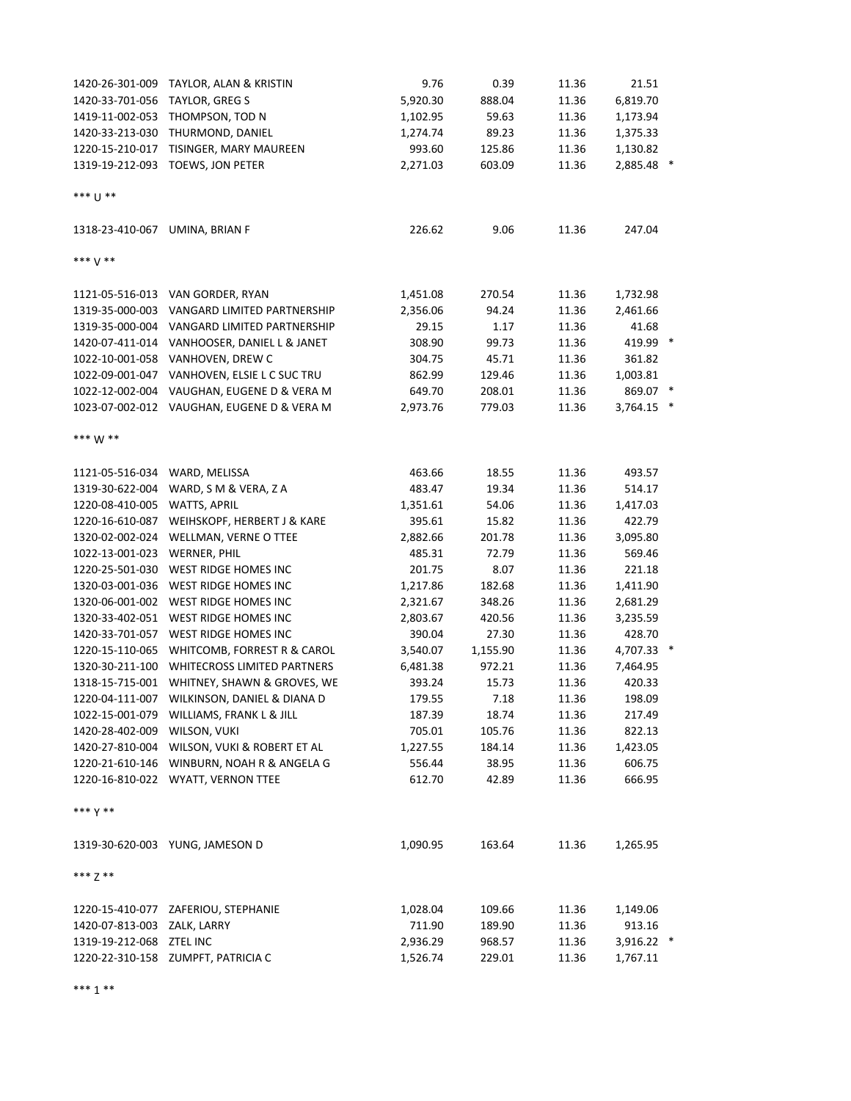| 1420-26-301-009                | TAYLOR, ALAN & KRISTIN                      | 9.76     | 0.39     | 11.36 | 21.51      |  |
|--------------------------------|---------------------------------------------|----------|----------|-------|------------|--|
| 1420-33-701-056                | TAYLOR, GREG S                              | 5,920.30 | 888.04   | 11.36 | 6,819.70   |  |
| 1419-11-002-053                | THOMPSON, TOD N                             | 1,102.95 | 59.63    | 11.36 | 1,173.94   |  |
| 1420-33-213-030                | THURMOND, DANIEL                            | 1,274.74 | 89.23    | 11.36 | 1,375.33   |  |
| 1220-15-210-017                | TISINGER, MARY MAUREEN                      | 993.60   | 125.86   | 11.36 | 1,130.82   |  |
|                                | 1319-19-212-093 TOEWS, JON PETER            | 2,271.03 | 603.09   | 11.36 | 2,885.48 * |  |
| *** [] **                      |                                             |          |          |       |            |  |
| 1318-23-410-067 UMINA, BRIAN F |                                             | 226.62   | 9.06     | 11.36 | 247.04     |  |
| *** V **                       |                                             |          |          |       |            |  |
|                                | 1121-05-516-013 VAN GORDER, RYAN            | 1,451.08 | 270.54   | 11.36 | 1,732.98   |  |
|                                | 1319-35-000-003 VANGARD LIMITED PARTNERSHIP | 2,356.06 | 94.24    | 11.36 | 2,461.66   |  |
|                                | 1319-35-000-004 VANGARD LIMITED PARTNERSHIP | 29.15    | 1.17     | 11.36 | 41.68      |  |
|                                | 1420-07-411-014 VANHOOSER, DANIEL L & JANET | 308.90   | 99.73    | 11.36 | 419.99 *   |  |
|                                | 1022-10-001-058 VANHOVEN, DREW C            | 304.75   | 45.71    | 11.36 | 361.82     |  |
|                                | 1022-09-001-047 VANHOVEN, ELSIE L C SUC TRU | 862.99   | 129.46   | 11.36 | 1,003.81   |  |
|                                | 1022-12-002-004 VAUGHAN, EUGENE D & VERA M  | 649.70   | 208.01   | 11.36 | 869.07 *   |  |
|                                | 1023-07-002-012 VAUGHAN, EUGENE D & VERA M  | 2,973.76 | 779.03   | 11.36 | 3,764.15 * |  |
| *** W **                       |                                             |          |          |       |            |  |
| 1121-05-516-034 WARD, MELISSA  |                                             | 463.66   | 18.55    | 11.36 | 493.57     |  |
| 1319-30-622-004                | WARD, S M & VERA, Z A                       | 483.47   | 19.34    | 11.36 | 514.17     |  |
| 1220-08-410-005                | <b>WATTS, APRIL</b>                         | 1,351.61 | 54.06    | 11.36 | 1,417.03   |  |
| 1220-16-610-087                | WEIHSKOPF, HERBERT J & KARE                 | 395.61   | 15.82    | 11.36 | 422.79     |  |
| 1320-02-002-024                | WELLMAN, VERNE O TTEE                       | 2,882.66 | 201.78   | 11.36 | 3,095.80   |  |
| 1022-13-001-023                | <b>WERNER, PHIL</b>                         | 485.31   | 72.79    | 11.36 | 569.46     |  |
| 1220-25-501-030                | WEST RIDGE HOMES INC                        | 201.75   | 8.07     | 11.36 | 221.18     |  |
| 1320-03-001-036                | WEST RIDGE HOMES INC                        | 1,217.86 | 182.68   | 11.36 | 1,411.90   |  |
|                                | 1320-06-001-002 WEST RIDGE HOMES INC        | 2,321.67 | 348.26   | 11.36 | 2,681.29   |  |
|                                | 1320-33-402-051 WEST RIDGE HOMES INC        | 2,803.67 | 420.56   | 11.36 | 3,235.59   |  |
|                                | 1420-33-701-057 WEST RIDGE HOMES INC        | 390.04   | 27.30    | 11.36 | 428.70     |  |
|                                | 1220-15-110-065 WHITCOMB, FORREST R & CAROL | 3,540.07 | 1,155.90 | 11.36 | 4,707.33 * |  |
|                                | 1320-30-211-100 WHITECROSS LIMITED PARTNERS | 6,481.38 | 972.21   | 11.36 | 7,464.95   |  |
|                                | 1318-15-715-001 WHITNEY, SHAWN & GROVES, WE | 393.24   | 15.73    | 11.36 | 420.33     |  |
|                                | 1220-04-111-007 WILKINSON, DANIEL & DIANA D | 179.55   | 7.18     | 11.36 | 198.09     |  |
|                                | 1022-15-001-079 WILLIAMS, FRANK L & JILL    | 187.39   | 18.74    | 11.36 | 217.49     |  |
| 1420-28-402-009 WILSON, VUKI   |                                             | 705.01   | 105.76   | 11.36 | 822.13     |  |
|                                | 1420-27-810-004 WILSON, VUKI & ROBERT ET AL | 1,227.55 | 184.14   | 11.36 | 1,423.05   |  |
|                                | 1220-21-610-146 WINBURN, NOAH R & ANGELA G  | 556.44   | 38.95    | 11.36 | 606.75     |  |
|                                | 1220-16-810-022 WYATT, VERNON TTEE          | 612.70   | 42.89    | 11.36 | 666.95     |  |
| $***$ Y **                     |                                             |          |          |       |            |  |
|                                | 1319-30-620-003 YUNG, JAMESON D             | 1,090.95 | 163.64   | 11.36 | 1,265.95   |  |
| *** 7 **                       |                                             |          |          |       |            |  |
|                                | 1220-15-410-077 ZAFERIOU, STEPHANIE         | 1,028.04 | 109.66   | 11.36 | 1,149.06   |  |
| 1420-07-813-003 ZALK, LARRY    |                                             | 711.90   | 189.90   | 11.36 | 913.16     |  |
| 1319-19-212-068 ZTEL INC       |                                             | 2,936.29 | 968.57   | 11.36 | 3,916.22 * |  |
|                                | 1220-22-310-158 ZUMPFT, PATRICIA C          | 1,526.74 | 229.01   | 11.36 | 1,767.11   |  |

\*\*\* 1 \*\*